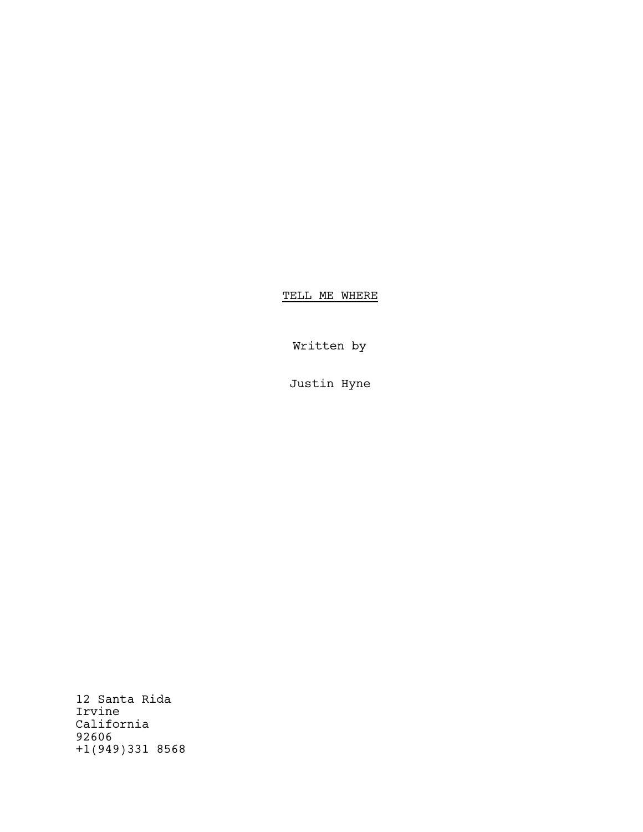TELL ME WHERE

Written by

Justin Hyne

12 Santa Rida Irvine California 92606 +1(949)331 8568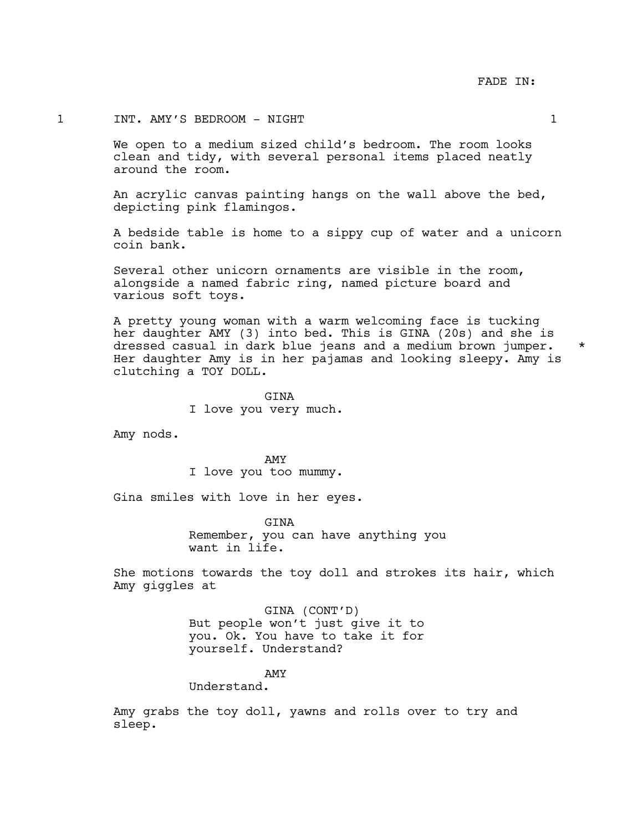# 1 INT. AMY'S BEDROOM - NIGHT 1

We open to a medium sized child's bedroom. The room looks clean and tidy, with several personal items placed neatly around the room.

An acrylic canvas painting hangs on the wall above the bed, depicting pink flamingos.

A bedside table is home to a sippy cup of water and a unicorn coin bank.

Several other unicorn ornaments are visible in the room, alongside a named fabric ring, named picture board and various soft toys.

A pretty young woman with a warm welcoming face is tucking her daughter AMY (3) into bed. This is GINA (20s) and she is dressed casual in dark blue jeans and a medium brown jumper. \* Her daughter Amy is in her pajamas and looking sleepy. Amy is clutching a TOY DOLL.

> GINA I love you very much.

Amy nods.

AMY I love you too mummy.

Gina smiles with love in her eyes.

**GTNA** Remember, you can have anything you want in life.

She motions towards the toy doll and strokes its hair, which Amy giggles at

> GINA (CONT'D) But people won't just give it to you. Ok. You have to take it for yourself. Understand?

> > AMY

Understand.

Amy grabs the toy doll, yawns and rolls over to try and sleep.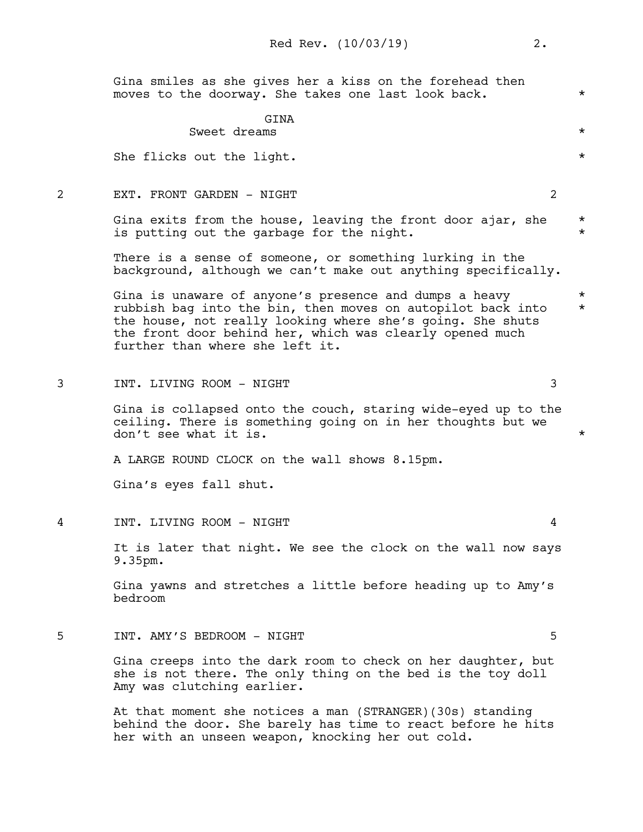Gina smiles as she gives her a kiss on the forehead then moves to the doorway. She takes one last look back.  $*$ 

#### **GTNA**

Sweet dreams  $\star$ 

She flicks out the light.  $\star$ 

2 EXT. FRONT GARDEN - NIGHT 2

Gina exits from the house, leaving the front door ajar, she  $*$ is putting out the garbage for the night.

There is a sense of someone, or something lurking in the background, although we can't make out anything specifically.

Gina is unaware of anyone's presence and dumps a heavy  $*$ rubbish bag into the bin, then moves on autopilot back into \* the house, not really looking where she's going. She shuts the front door behind her, which was clearly opened much further than where she left it.

3 INT. LIVING ROOM - NIGHT 3

Gina is collapsed onto the couch, staring wide-eyed up to the ceiling. There is something going on in her thoughts but we don't see what it is.  $\star$ 

A LARGE ROUND CLOCK on the wall shows 8.15pm.

Gina's eyes fall shut.

4 INT. LIVING ROOM - NIGHT 4

It is later that night. We see the clock on the wall now says 9.35pm.

Gina yawns and stretches a little before heading up to Amy's bedroom

5 INT. AMY'S BEDROOM - NIGHT 5

Gina creeps into the dark room to check on her daughter, but she is not there. The only thing on the bed is the toy doll Amy was clutching earlier.

At that moment she notices a man (STRANGER)(30s) standing behind the door. She barely has time to react before he hits her with an unseen weapon, knocking her out cold.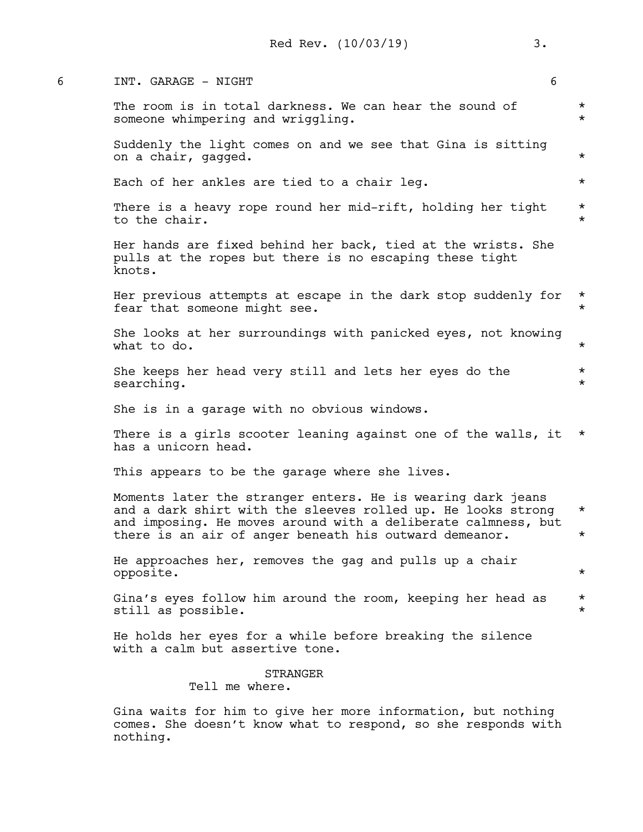| 6 | INT. GARAGE - NIGHT                                                                                                                                                                                                                                    | 6                    |
|---|--------------------------------------------------------------------------------------------------------------------------------------------------------------------------------------------------------------------------------------------------------|----------------------|
|   | The room is in total darkness. We can hear the sound of<br>someone whimpering and wriggling.                                                                                                                                                           | $^\star$<br>$^\star$ |
|   | Suddenly the light comes on and we see that Gina is sitting<br>on a chair, gagged.                                                                                                                                                                     | $^\star$             |
|   | Each of her ankles are tied to a chair leg.                                                                                                                                                                                                            | $^\star$             |
|   | There is a heavy rope round her mid-rift, holding her tight<br>to the chair.                                                                                                                                                                           | $\star$<br>$^\star$  |
|   | Her hands are fixed behind her back, tied at the wrists. She<br>pulls at the ropes but there is no escaping these tight<br>knots.                                                                                                                      |                      |
|   | Her previous attempts at escape in the dark stop suddenly for<br>fear that someone might see.                                                                                                                                                          | $\star$<br>$\star$   |
|   | She looks at her surroundings with panicked eyes, not knowing<br>what to do.                                                                                                                                                                           | $^\star$             |
|   | She keeps her head very still and lets her eyes do the<br>searching.                                                                                                                                                                                   | $^\star$<br>$^\star$ |
|   | She is in a garage with no obvious windows.                                                                                                                                                                                                            |                      |
|   | There is a girls scooter leaning against one of the walls, it<br>has a unicorn head.                                                                                                                                                                   | $\star$              |
|   | This appears to be the garage where she lives.                                                                                                                                                                                                         |                      |
|   | Moments later the stranger enters. He is wearing dark jeans<br>and a dark shirt with the sleeves rolled up. He looks strong<br>and imposing. He moves around with a deliberate calmness, but<br>there is an air of anger beneath his outward demeanor. | $^\star$<br>$^\star$ |
|   | He approaches her, removes the gag and pulls up a chair<br>opposite.                                                                                                                                                                                   | $^\star$             |
|   | Gina's eyes follow him around the room, keeping her head as<br>still as possible.                                                                                                                                                                      | $^\star$<br>$^\star$ |
|   | He holds her eyes for a while before breaking the silence<br>with a calm but assertive tone.                                                                                                                                                           |                      |
|   | <b>STRANGER</b><br>Tell me where.                                                                                                                                                                                                                      |                      |
|   | Gina waits for him to give her more information, but nothing<br>comes. She doesn't know what to respond, so she responds with<br>nothing.                                                                                                              |                      |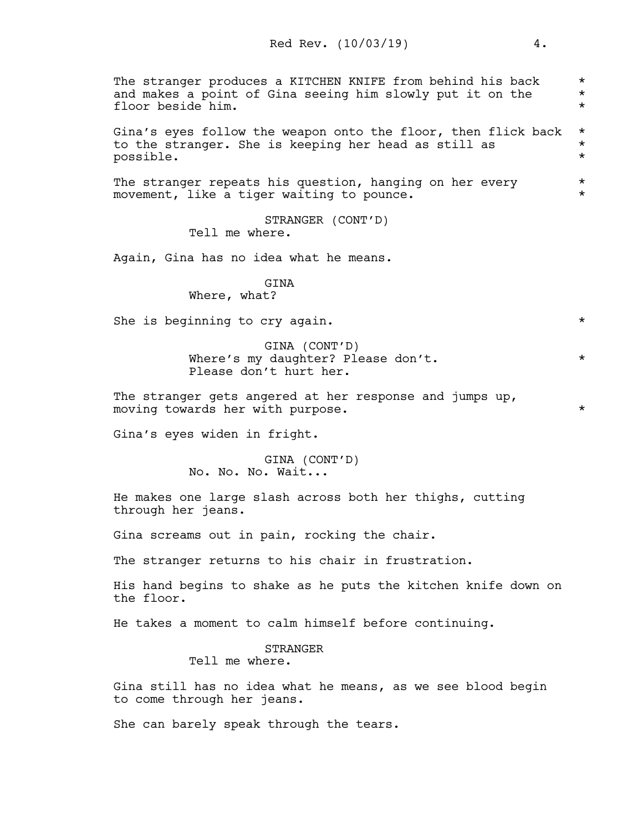The stranger produces a KITCHEN KNIFE from behind his back  $*$ <br>and makes a point of Gina seeing him slowly put it on the  $*$ and makes a point of Gina seeing him slowly put it on the \* floor beside him. \* Gina's eyes follow the weapon onto the floor, then flick back \* to the stranger. She is keeping her head as still as  $*$  possible. possible. \* The stranger repeats his question, hanging on her every  $*$ movement, like a tiger waiting to pounce.  $*$ STRANGER (CONT'D) Tell me where. Again, Gina has no idea what he means. GINA Where, what? She is beginning to cry again.  $\star$ 

> GINA (CONT'D) Where's my daughter? Please don't. \* \* Please don't hurt her.

The stranger gets angered at her response and jumps up, moving towards her with purpose.  $\star$ 

Gina's eyes widen in fright.

GINA (CONT'D) No. No. No. Wait...

He makes one large slash across both her thighs, cutting through her jeans.

Gina screams out in pain, rocking the chair.

The stranger returns to his chair in frustration.

His hand begins to shake as he puts the kitchen knife down on the floor.

He takes a moment to calm himself before continuing.

STRANGER

Tell me where.

Gina still has no idea what he means, as we see blood begin to come through her jeans.

She can barely speak through the tears.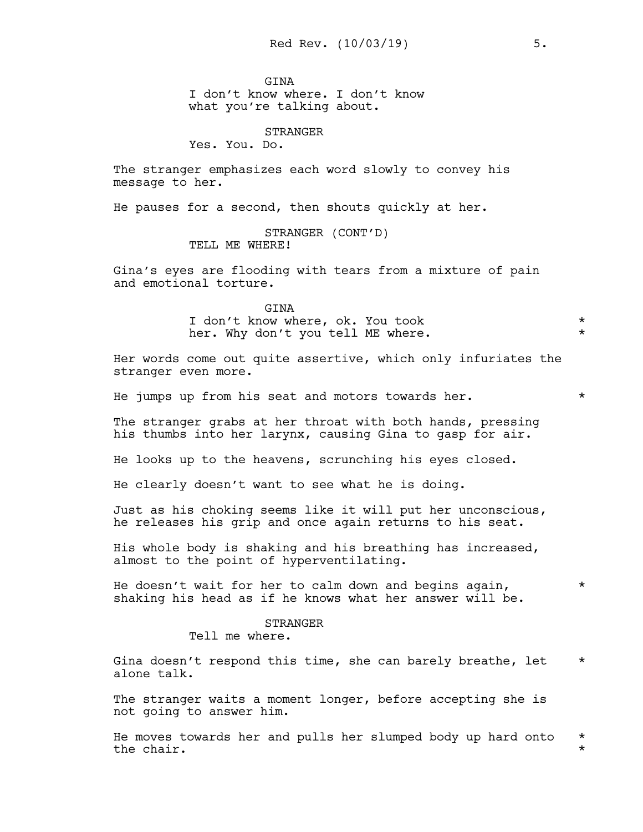**GTNA** 

I don't know where. I don't know what you're talking about.

STRANGER

Yes. You. Do.

The stranger emphasizes each word slowly to convey his message to her.

He pauses for a second, then shouts quickly at her.

STRANGER (CONT'D) TELL ME WHERE!

Gina's eyes are flooding with tears from a mixture of pain and emotional torture.

> GINA I don't know where, ok. You took \* her. Why don't you tell ME where.  $*$

Her words come out quite assertive, which only infuriates the stranger even more.

He jumps up from his seat and motors towards her.  $*$ 

The stranger grabs at her throat with both hands, pressing his thumbs into her larynx, causing Gina to gasp for air.

He looks up to the heavens, scrunching his eyes closed.

He clearly doesn't want to see what he is doing.

Just as his choking seems like it will put her unconscious, he releases his grip and once again returns to his seat.

His whole body is shaking and his breathing has increased, almost to the point of hyperventilating.

He doesn't wait for her to calm down and begins again,  $*$ shaking his head as if he knows what her answer will be.

> STRANGER Tell me where.

Gina doesn't respond this time, she can barely breathe, let  $*$ alone talk.

The stranger waits a moment longer, before accepting she is not going to answer him.

He moves towards her and pulls her slumped body up hard onto \* the chair.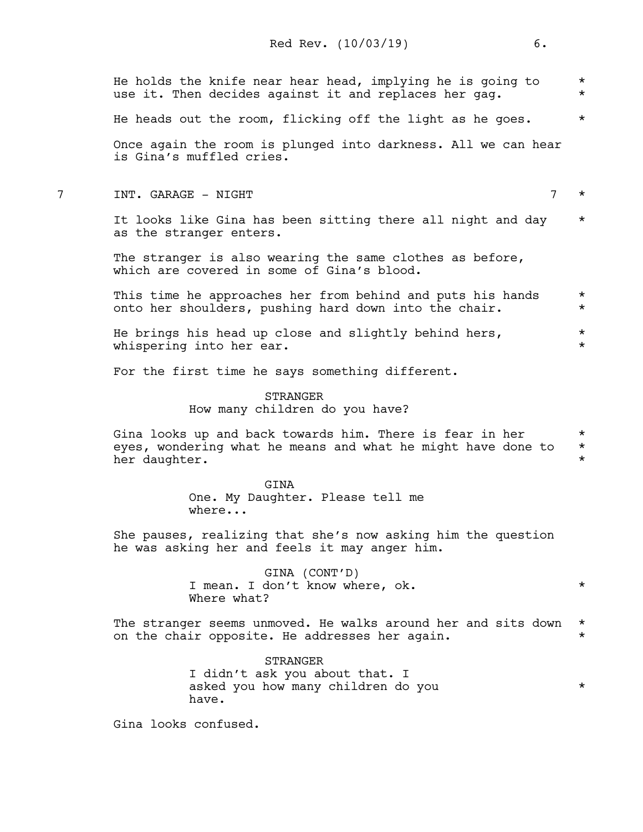|   | He holds the knife near hear head, implying he is going to<br>use it. Then decides against it and replaces her gag.                       | $^\star$<br>$^\star$             |
|---|-------------------------------------------------------------------------------------------------------------------------------------------|----------------------------------|
|   | He heads out the room, flicking off the light as he goes.                                                                                 | $^\star$                         |
|   | Once again the room is plunged into darkness. All we can hear<br>is Gina's muffled cries.                                                 |                                  |
| 7 | $\overline{7}$<br>INT. GARAGE - NIGHT                                                                                                     | $^\star$                         |
|   | It looks like Gina has been sitting there all night and day<br>as the stranger enters.                                                    | $^\star$                         |
|   | The stranger is also wearing the same clothes as before,<br>which are covered in some of Gina's blood.                                    |                                  |
|   | This time he approaches her from behind and puts his hands<br>onto her shoulders, pushing hard down into the chair.                       | $^\star$<br>$^\star$             |
|   | He brings his head up close and slightly behind hers,<br>whispering into her ear.                                                         | $^\star$<br>$^\star$             |
|   | For the first time he says something different.                                                                                           |                                  |
|   | STRANGER<br>How many children do you have?                                                                                                |                                  |
|   | Gina looks up and back towards him. There is fear in her<br>eyes, wondering what he means and what he might have done to<br>her daughter. | $^\star$<br>$^\star$<br>$^\star$ |
|   | <b>GINA</b><br>One. My Daughter. Please tell me<br>where                                                                                  |                                  |
|   | She pauses, realizing that she's now asking him the question<br>he was asking her and feels it may anger him.                             |                                  |
|   | GINA (CONT'D)<br>I mean. I don't know where, ok.<br>Where what?                                                                           | $^\star$                         |
|   | The stranger seems unmoved. He walks around her and sits down<br>on the chair opposite. He addresses her again.                           | $^\star$<br>$^\star$             |
|   | <b>STRANGER</b><br>I didn't ask you about that. I<br>asked you how many children do you<br>have.                                          | $^\star$                         |
|   | Gina looks confused.                                                                                                                      |                                  |
|   |                                                                                                                                           |                                  |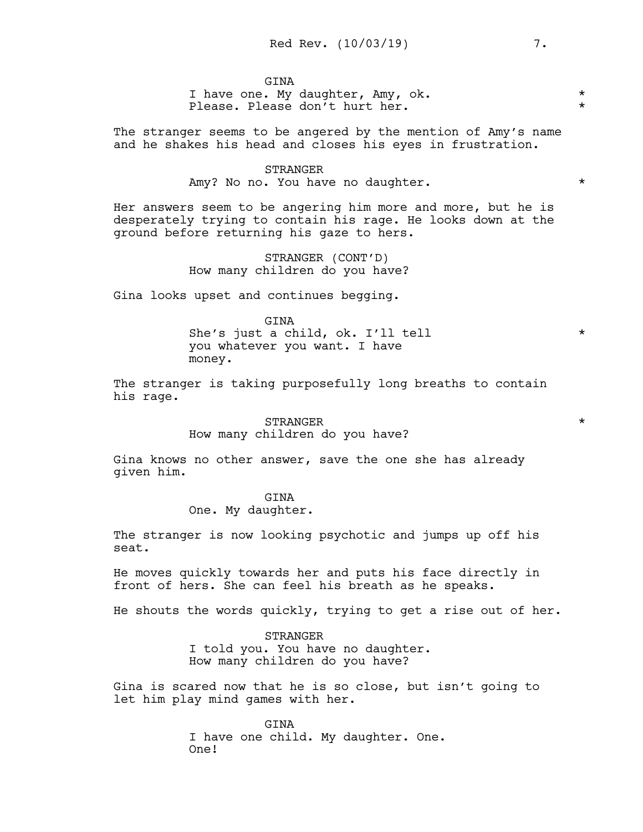**GTNA** I have one. My daughter, Amy, ok. \* \* Please. Please don't hurt her.

The stranger seems to be angered by the mention of Amy's name and he shakes his head and closes his eyes in frustration.

> STRANGER Amy? No no. You have no daughter.  $*$

Her answers seem to be angering him more and more, but he is desperately trying to contain his rage. He looks down at the ground before returning his gaze to hers.

> STRANGER (CONT'D) How many children do you have?

Gina looks upset and continues begging.

GINA She's just a child, ok. I'll tell \* you whatever you want. I have money.

The stranger is taking purposefully long breaths to contain his rage.

> ${\tt STRANGER} \hspace{2.5cm} {\color{red} \star}$ How many children do you have?

Gina knows no other answer, save the one she has already given him.

GINA

One. My daughter.

The stranger is now looking psychotic and jumps up off his seat.

He moves quickly towards her and puts his face directly in front of hers. She can feel his breath as he speaks.

He shouts the words quickly, trying to get a rise out of her.

STRANGER I told you. You have no daughter. How many children do you have?

Gina is scared now that he is so close, but isn't going to let him play mind games with her.

> GINA I have one child. My daughter. One. One!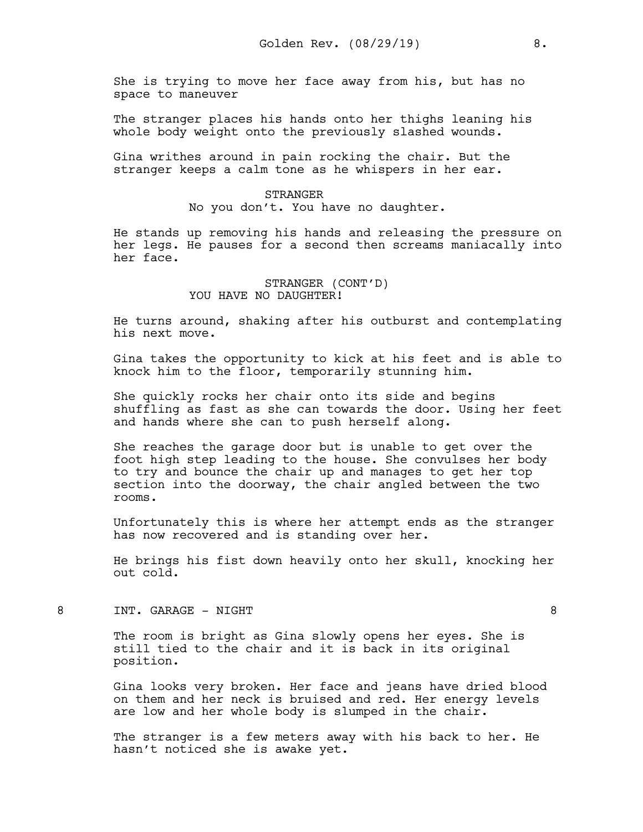She is trying to move her face away from his, but has no space to maneuver

The stranger places his hands onto her thighs leaning his whole body weight onto the previously slashed wounds.

Gina writhes around in pain rocking the chair. But the stranger keeps a calm tone as he whispers in her ear.

> STRANGER No you don't. You have no daughter.

He stands up removing his hands and releasing the pressure on her legs. He pauses for a second then screams maniacally into her face.

> STRANGER (CONT'D) YOU HAVE NO DAUGHTER!

He turns around, shaking after his outburst and contemplating his next move.

Gina takes the opportunity to kick at his feet and is able to knock him to the floor, temporarily stunning him.

She quickly rocks her chair onto its side and begins shuffling as fast as she can towards the door. Using her feet and hands where she can to push herself along.

She reaches the garage door but is unable to get over the foot high step leading to the house. She convulses her body to try and bounce the chair up and manages to get her top section into the doorway, the chair angled between the two rooms.

Unfortunately this is where her attempt ends as the stranger has now recovered and is standing over her.

He brings his fist down heavily onto her skull, knocking her out cold.

8 INT. GARAGE – NIGHT 8

The room is bright as Gina slowly opens her eyes. She is still tied to the chair and it is back in its original position.

Gina looks very broken. Her face and jeans have dried blood on them and her neck is bruised and red. Her energy levels are low and her whole body is slumped in the chair.

The stranger is a few meters away with his back to her. He hasn't noticed she is awake yet.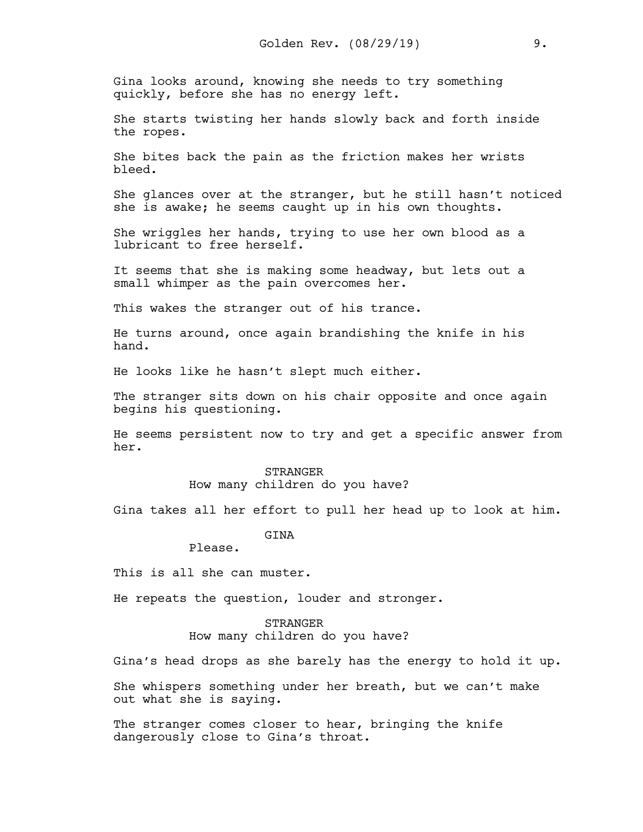Gina looks around, knowing she needs to try something quickly, before she has no energy left.

She starts twisting her hands slowly back and forth inside the ropes.

She bites back the pain as the friction makes her wrists bleed.

She glances over at the stranger, but he still hasn't noticed she is awake; he seems caught up in his own thoughts.

She wriggles her hands, trying to use her own blood as a lubricant to free herself.

It seems that she is making some headway, but lets out a small whimper as the pain overcomes her.

This wakes the stranger out of his trance.

He turns around, once again brandishing the knife in his hand.

He looks like he hasn't slept much either.

The stranger sits down on his chair opposite and once again begins his questioning.

He seems persistent now to try and get a specific answer from her.

> **STRANGER** How many children do you have?

Gina takes all her effort to pull her head up to look at him.

**GTNA** 

Please.

This is all she can muster.

He repeats the question, louder and stronger.

STRANGER How many children do you have?

Gina's head drops as she barely has the energy to hold it up.

She whispers something under her breath, but we can't make out what she is saying.

The stranger comes closer to hear, bringing the knife dangerously close to Gina's throat.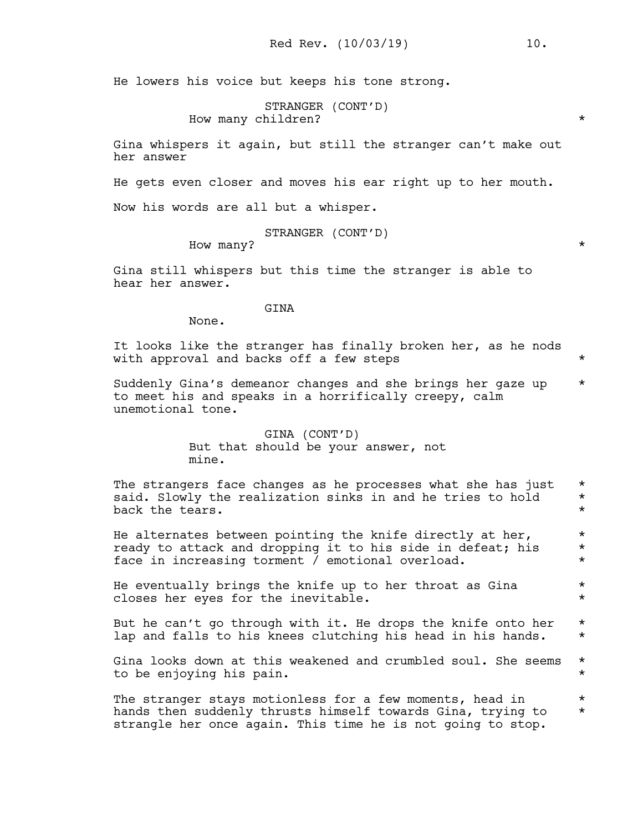He lowers his voice but keeps his tone strong.

```
STRANGER (CONT'D)
How many children? *
```
Gina whispers it again, but still the stranger can't make out her answer

He gets even closer and moves his ear right up to her mouth.

Now his words are all but a whisper.

STRANGER (CONT'D)

How many?  $\star$ 

Gina still whispers but this time the stranger is able to hear her answer.

# GINA

None.

It looks like the stranger has finally broken her, as he nods with approval and backs off a few steps  $*$ 

Suddenly Gina's demeanor changes and she brings her gaze up  $*$ to meet his and speaks in a horrifically creepy, calm unemotional tone.

> GINA (CONT'D) But that should be your answer, not mine.

The strangers face changes as he processes what she has just  $*$ said. Slowly the realization sinks in and he tries to hold  $*$ back the tears.  $\star$ 

He alternates between pointing the knife directly at her,  $*$ ready to attack and dropping it to his side in defeat; his \* face in increasing torment / emotional overload.  $*$ 

He eventually brings the knife up to her throat as Gina  $*$ closes her eyes for the inevitable. \*

But he can't go through with it. He drops the knife onto her  $*$ lap and falls to his knees clutching his head in his hands. \*

Gina looks down at this weakened and crumbled soul. She seems \* to be enjoying his pain. \*

The stranger stays motionless for a few moments, head in  $*$ <br>hands then suddenly thrusts himself towards Gina, trying to  $*$ hands then suddenly thrusts himself towards Gina, trying to \* strangle her once again. This time he is not going to stop.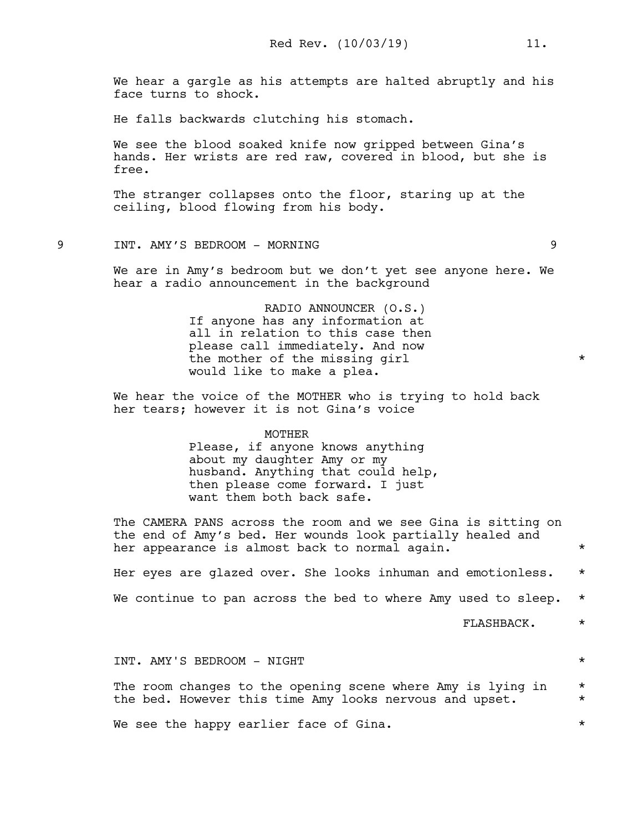We hear a gargle as his attempts are halted abruptly and his face turns to shock.

He falls backwards clutching his stomach.

We see the blood soaked knife now gripped between Gina's hands. Her wrists are red raw, covered in blood, but she is free.

The stranger collapses onto the floor, staring up at the ceiling, blood flowing from his body.

# 9 INT. AMY'S BEDROOM - MORNING 9

We are in Amy's bedroom but we don't yet see anyone here. We hear a radio announcement in the background

> RADIO ANNOUNCER (O.S.) If anyone has any information at all in relation to this case then please call immediately. And now the mother of the missing girl  $*$ would like to make a plea.

We hear the voice of the MOTHER who is trying to hold back her tears; however it is not Gina's voice

#### MOTHER

Please, if anyone knows anything about my daughter Amy or my husband. Anything that could help, then please come forward. I just want them both back safe.

The CAMERA PANS across the room and we see Gina is sitting on the end of Amy's bed. Her wounds look partially healed and her appearance is almost back to normal again.  $*$ 

Her eyes are glazed over. She looks inhuman and emotionless. \* We continue to pan across the bed to where Amy used to sleep.  $\star$ 

FLASHBACK. \*

# INT. AMY'S BEDROOM - NIGHT \*

The room changes to the opening scene where Amy is lying in  $*$ the bed. However this time Amy looks nervous and upset.  $*$ 

We see the happy earlier face of Gina.  $*$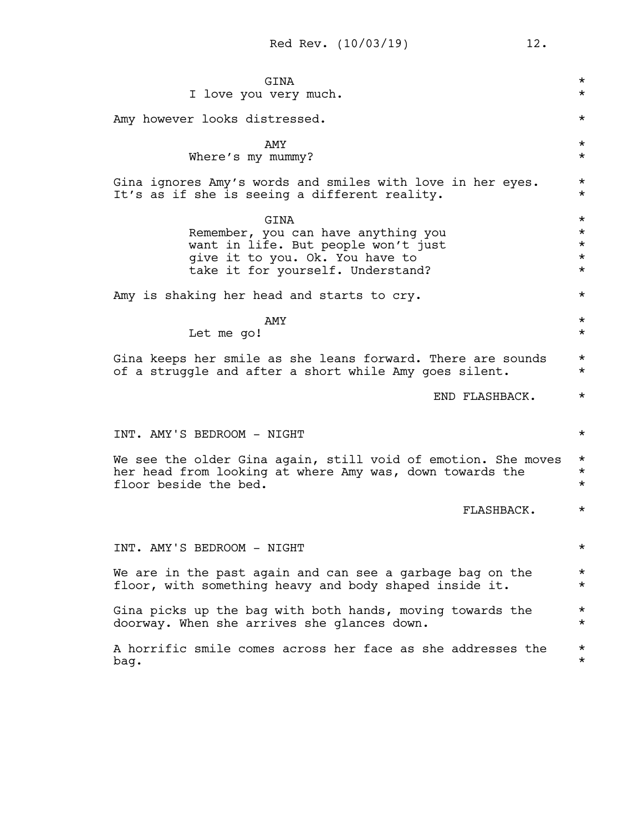| GINA                                                          | $^\star$ |
|---------------------------------------------------------------|----------|
| I love you very much.                                         | $\star$  |
| Amy however looks distressed.                                 | $\star$  |
| <b>AMY</b>                                                    | $^\star$ |
| Where's my mummy?                                             | $\star$  |
| Gina ignores Amy's words and smiles with love in her eyes.    | $^\star$ |
| It's as if she is seeing a different reality.                 | $\star$  |
| GINA                                                          | $^\star$ |
| Remember, you can have anything you                           | $^\star$ |
| want in life. But people won't just                           | $^\star$ |
| give it to you. Ok. You have to                               | $^\star$ |
| take it for yourself. Understand?                             | $\star$  |
| Amy is shaking her head and starts to cry.                    | $\star$  |
| <b>AMY</b>                                                    | $^\star$ |
| Let me go!                                                    | $\star$  |
| Gina keeps her smile as she leans forward. There are sounds   | $^\star$ |
| of a struggle and after a short while Amy goes silent.        | $\star$  |
| END FLASHBACK.                                                | $^\star$ |
| INT. AMY'S BEDROOM - NIGHT                                    | $\star$  |
| We see the older Gina again, still void of emotion. She moves | $^\star$ |
| her head from looking at where Amy was, down towards the      | $^\star$ |
| floor beside the bed.                                         | $\star$  |
| FLASHBACK.                                                    | $^\star$ |
| INT. AMY'S BEDROOM - NIGHT                                    | $^\star$ |
| We are in the past again and can see a garbage bag on the     | $^\star$ |
| floor, with something heavy and body shaped inside it.        | $^\star$ |
| Gina picks up the bag with both hands, moving towards the     | $^\star$ |
| doorway. When she arrives she glances down.                   | $^\star$ |
| A horrific smile comes across her face as she addresses the   | $^\star$ |
| bag.                                                          | $^\star$ |